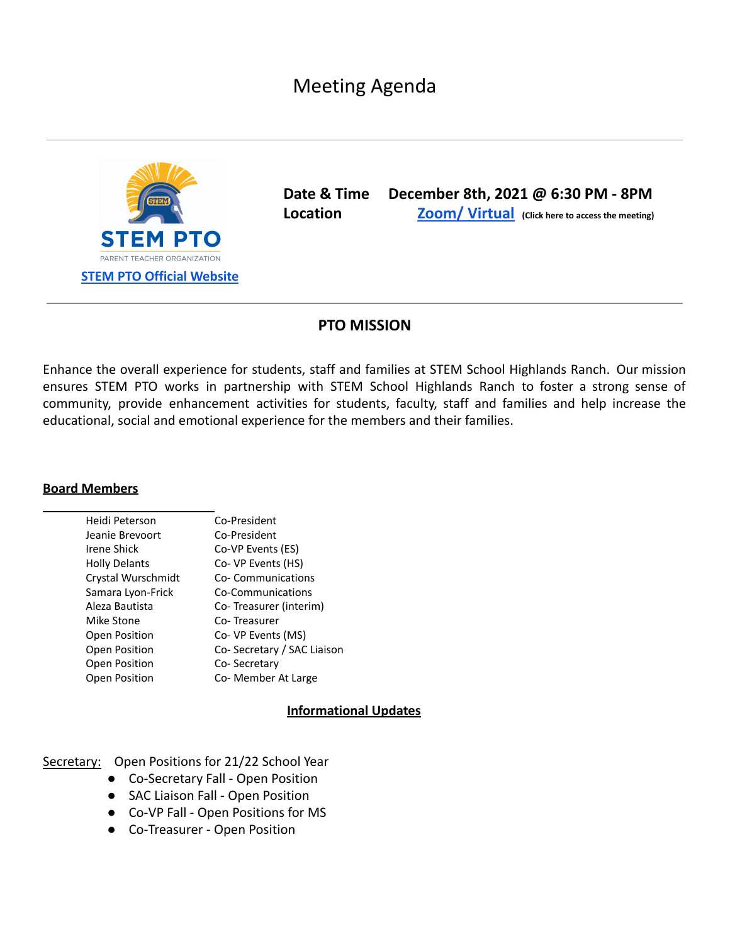Meeting Agenda



**Date & Time December 8th, 2021 @ 6:30 PM - 8PM Location Zoom/ [Virtual](https://zoom.us/w/93179283566?tk=4v8oYrnLShU2NDk3CraiKKTIJFmoFVHPyvmdADbND6k.DQMAAAAVsesIbhYxeG5rVWg5RlR0bVBSSGhBTDNwMzVRAAAAAAAAAAAAAAAAAAAAAAAAAAAAAA&pwd=UUk1WVcyUjVIUFFGdVJOdEVtMmtnUT09) (Click here to access the meeting)**

## **PTO MISSION**

Enhance the overall experience for students, staff and families at STEM School Highlands Ranch. Our mission ensures STEM PTO works in partnership with STEM School Highlands Ranch to foster a strong sense of community, provide enhancement activities for students, faculty, staff and families and help increase the educational, social and emotional experience for the members and their families.

## **Board Members**

| Heidi Peterson       | Co-President               |
|----------------------|----------------------------|
| Jeanie Brevoort      | Co-President               |
| Irene Shick          | Co-VP Events (ES)          |
| <b>Holly Delants</b> | Co- VP Events (HS)         |
| Crystal Wurschmidt   | Co-Communications          |
| Samara Lyon-Frick    | Co-Communications          |
| Aleza Bautista       | Co-Treasurer (interim)     |
| Mike Stone           | Co-Treasurer               |
| <b>Open Position</b> | Co- VP Events (MS)         |
| <b>Open Position</b> | Co-Secretary / SAC Liaison |
| <b>Open Position</b> | Co-Secretary               |
| <b>Open Position</b> | Co- Member At Large        |

## **Informational Updates**

Secretary: Open Positions for 21/22 School Year

- Co-Secretary Fall Open Position
- SAC Liaison Fall Open Position
- Co-VP Fall Open Positions for MS
- Co-Treasurer Open Position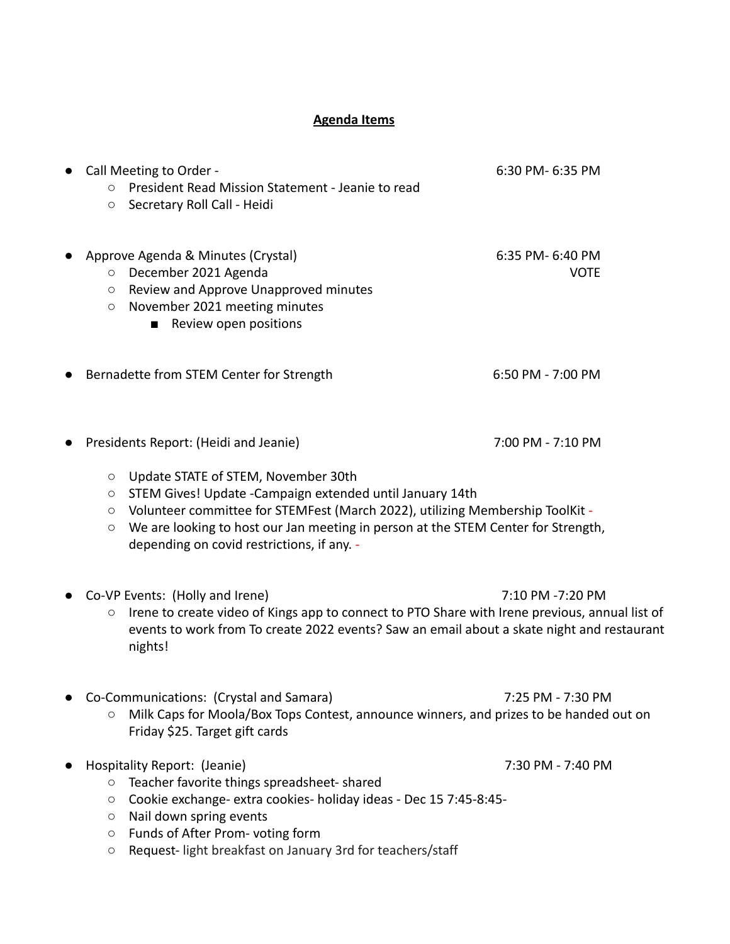## **Agenda Items**

| O<br>$\bigcirc$                          | Call Meeting to Order -<br>President Read Mission Statement - Jeanie to read<br>Secretary Roll Call - Heidi                                                                                                                                                                                                          | 6:30 PM- 6:35 PM                |
|------------------------------------------|----------------------------------------------------------------------------------------------------------------------------------------------------------------------------------------------------------------------------------------------------------------------------------------------------------------------|---------------------------------|
| $\bigcirc$<br>$\bigcirc$<br>$\bigcirc$   | Approve Agenda & Minutes (Crystal)<br>December 2021 Agenda<br>Review and Approve Unapproved minutes<br>November 2021 meeting minutes<br>Review open positions                                                                                                                                                        | 6:35 PM- 6:40 PM<br><b>VOTE</b> |
|                                          | Bernadette from STEM Center for Strength                                                                                                                                                                                                                                                                             | 6:50 PM - 7:00 PM               |
|                                          | Presidents Report: (Heidi and Jeanie)                                                                                                                                                                                                                                                                                | 7:00 PM - 7:10 PM               |
| $\bigcirc$<br>О<br>$\bigcirc$<br>О       | Update STATE of STEM, November 30th<br>STEM Gives! Update - Campaign extended until January 14th<br>Volunteer committee for STEMFest (March 2022), utilizing Membership ToolKit -<br>We are looking to host our Jan meeting in person at the STEM Center for Strength,<br>depending on covid restrictions, if any. - |                                 |
| О                                        | Co-VP Events: (Holly and Irene)<br>Irene to create video of Kings app to connect to PTO Share with Irene previous, annual list of<br>events to work from To create 2022 events? Saw an email about a skate night and restaurant<br>nights!                                                                           | 7:10 PM -7:20 PM                |
| О                                        | Co-Communications: (Crystal and Samara)<br>Milk Caps for Moola/Box Tops Contest, announce winners, and prizes to be handed out on<br>Friday \$25. Target gift cards                                                                                                                                                  | 7:25 PM - 7:30 PM               |
| $\circ$<br>$\bigcirc$<br>О<br>$\bigcirc$ | Hospitality Report: (Jeanie)<br>Teacher favorite things spreadsheet- shared<br>Cookie exchange- extra cookies- holiday ideas - Dec 15 7:45-8:45-<br>Nail down spring events<br>Funds of After Prom-voting form                                                                                                       | 7:30 PM - 7:40 PM               |

○ Request- light breakfast on January 3rd for teachers/staff